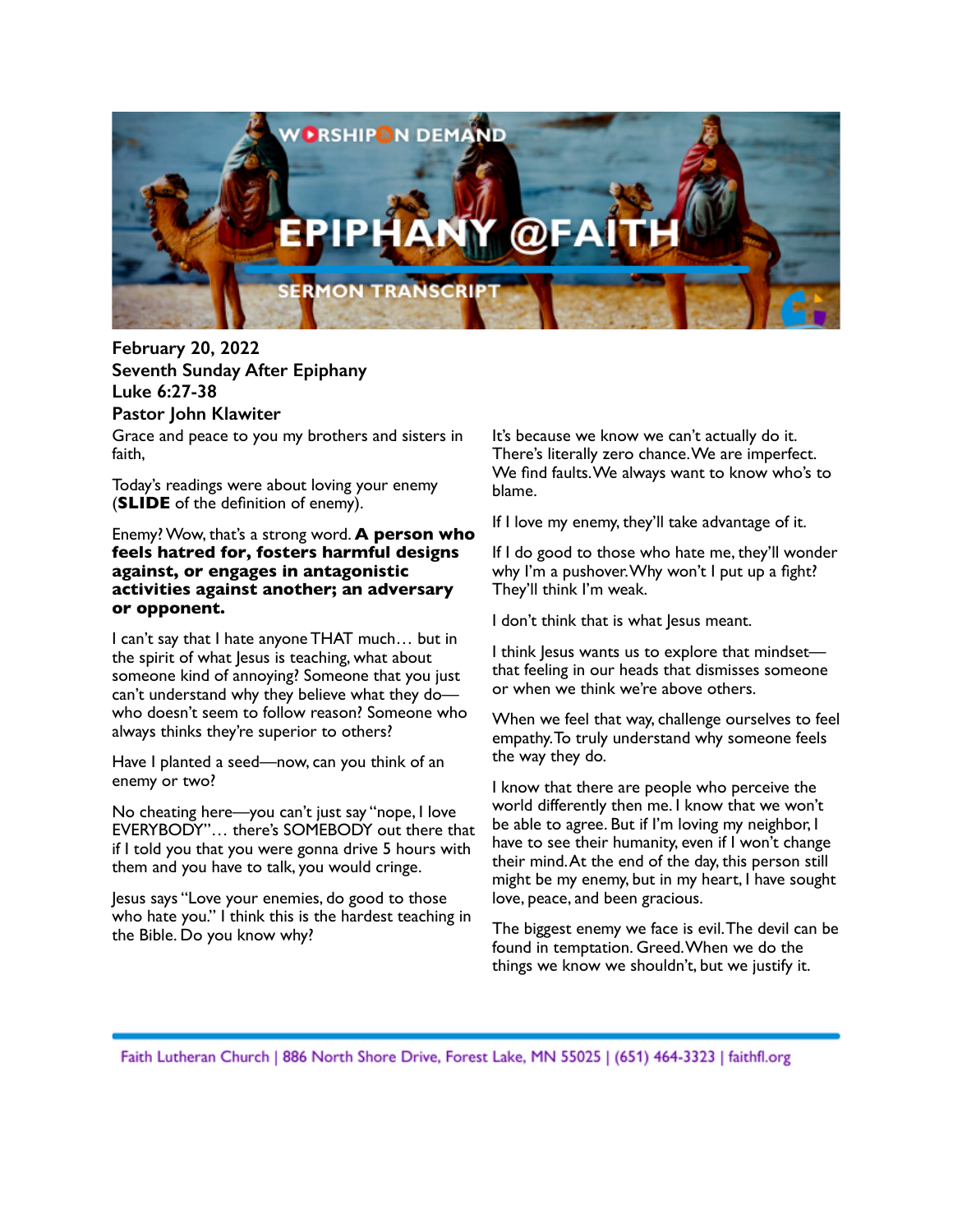

Grace and peace to you my brothers and sisters in faith, **February 20, 2022 Seventh Sunday After Epiphany Luke 6:27-38 Pastor John Klawiter**

Today's readings were about loving your enemy (**SLIDE** of the definition of enemy).

Enemy?Wow, that's a strong word. **A person who feels hatred for, fosters harmful designs against, or engages in antagonistic activities against another; an adversary or opponent.**

I can't say that I hate anyone THAT much… but in the spirit of what lesus is teaching, what about someone kind of annoying? Someone that you just can't understand why they believe what they do who doesn't seem to follow reason? Someone who always thinks they're superior to others?

Have I planted a seed—now, can you think of an enemy or two?

No cheating here—you can't just say "nope, I love EVERYBODY"… there's SOMEBODY out there that if I told you that you were gonna drive 5 hours with them and you have to talk, you would cringe.

Jesus says "Love your enemies, do good to those who hate you." I think this is the hardest teaching in the Bible. Do you know why?

It's because we know we can't actually do it. There's literally zero chance.We are imperfect. We find faults.We always want to know who's to blame.

If I love my enemy, they'll take advantage of it.

If I do good to those who hate me, they'll wonder why I'm a pushover. Why won't I put up a fight? They'll think I'm weak.

I don't think that is what Jesus meant.

I think Jesus wants us to explore that mindset that feeling in our heads that dismisses someone or when we think we're above others.

When we feel that way, challenge ourselves to feel empathy.To truly understand why someone feels the way they do.

I know that there are people who perceive the world differently then me. I know that we won't be able to agree. But if I'm loving my neighbor, I have to see their humanity, even if I won't change their mind.At the end of the day, this person still might be my enemy, but in my heart, I have sought love, peace, and been gracious.

The biggest enemy we face is evil.The devil can be found in temptation. Greed.When we do the things we know we shouldn't, but we justify it.

Faith Lutheran Church | 886 North Shore Drive, Forest Lake, MN 55025 | (651) 464-3323 | faithfl.org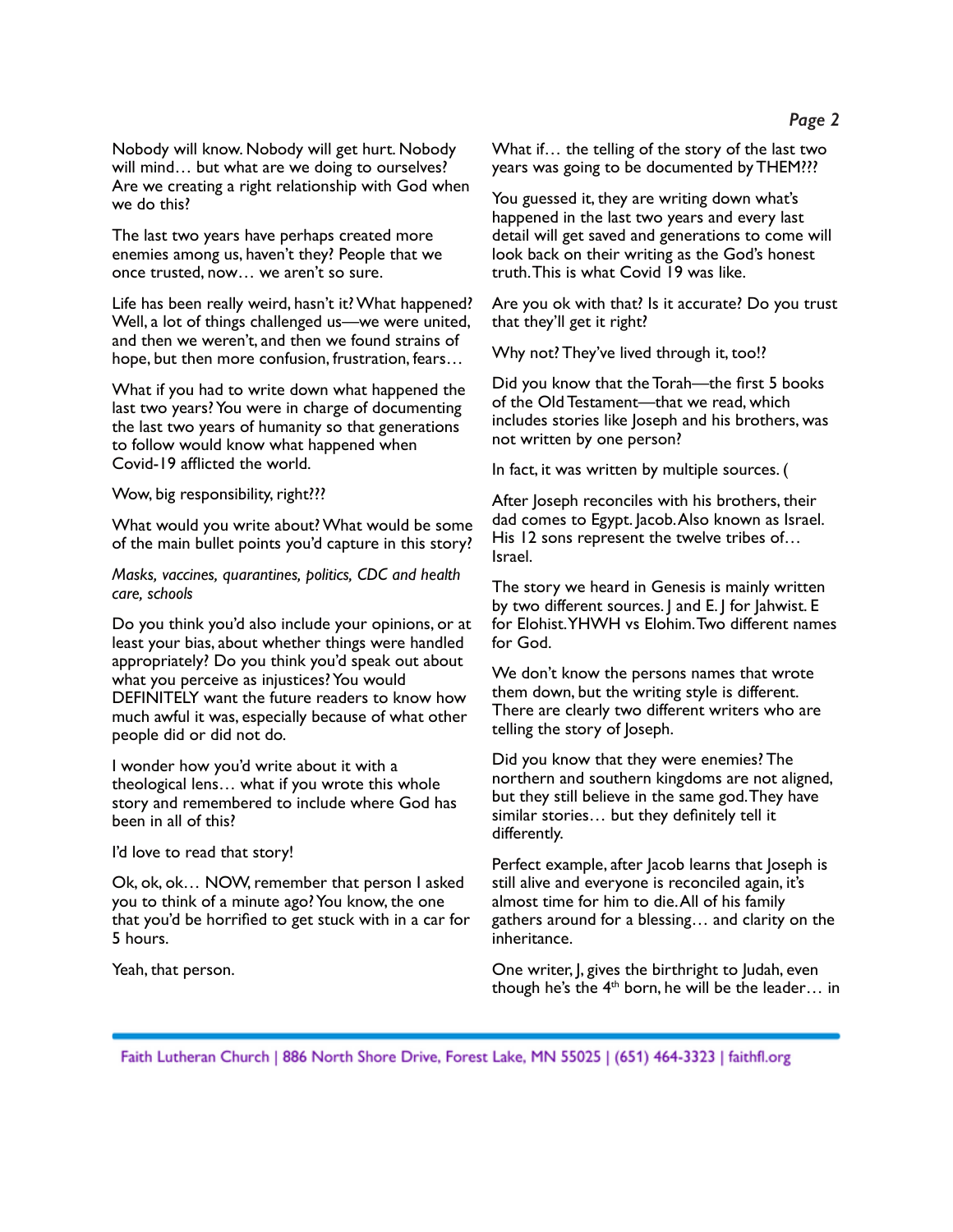Nobody will know. Nobody will get hurt. Nobody will mind… but what are we doing to ourselves? Are we creating a right relationship with God when we do this?

The last two years have perhaps created more enemies among us, haven't they? People that we once trusted, now… we aren't so sure.

Life has been really weird, hasn't it?What happened? Well, a lot of things challenged us—we were united, and then we weren't, and then we found strains of hope, but then more confusion, frustration, fears…

What if you had to write down what happened the last two years? You were in charge of documenting the last two years of humanity so that generations to follow would know what happened when Covid-19 afflicted the world.

## Wow, big responsibility, right???

What would you write about?What would be some of the main bullet points you'd capture in this story?

*Masks, vaccines, quarantines, politics, CDC and health care, schools*

Do you think you'd also include your opinions, or at least your bias, about whether things were handled appropriately? Do you think you'd speak out about what you perceive as injustices? You would DEFINITELY want the future readers to know how much awful it was, especially because of what other people did or did not do.

I wonder how you'd write about it with a theological lens… what if you wrote this whole story and remembered to include where God has been in all of this?

I'd love to read that story!

Ok, ok, ok… NOW, remember that person I asked you to think of a minute ago? You know, the one that you'd be horrified to get stuck with in a car for 5 hours.

Yeah, that person.

What if… the telling of the story of the last two years was going to be documented by THEM???

You guessed it, they are writing down what's happened in the last two years and every last detail will get saved and generations to come will look back on their writing as the God's honest truth.This is what Covid 19 was like.

Are you ok with that? Is it accurate? Do you trust that they'll get it right?

Why not? They've lived through it, too!?

Did you know that the Torah—the first 5 books of the Old Testament—that we read, which includes stories like Joseph and his brothers, was not written by one person?

In fact, it was written by multiple sources. (

After Joseph reconciles with his brothers, their dad comes to Egypt. Jacob.Also known as Israel. His 12 sons represent the twelve tribes of… Israel.

The story we heard in Genesis is mainly written by two different sources. J and E. J for Jahwist. E for Elohist.YHWH vs Elohim.Two different names for God.

We don't know the persons names that wrote them down, but the writing style is different. There are clearly two different writers who are telling the story of Joseph.

Did you know that they were enemies? The northern and southern kingdoms are not aligned, but they still believe in the same god.They have similar stories… but they definitely tell it differently.

Perfect example, after Jacob learns that Joseph is still alive and everyone is reconciled again, it's almost time for him to die.All of his family gathers around for a blessing… and clarity on the inheritance.

One writer, J, gives the birthright to Judah, even though he's the  $4<sup>th</sup>$  born, he will be the leader... in

Faith Lutheran Church | 886 North Shore Drive, Forest Lake, MN 55025 | (651) 464-3323 | faithfl.org